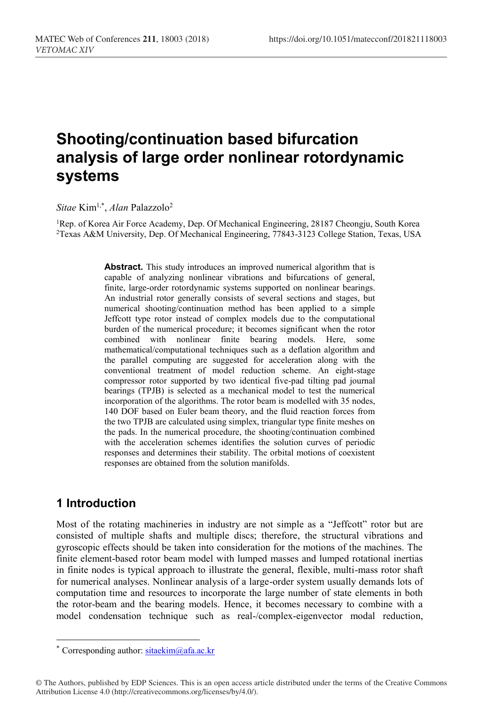# **Shooting/continuation based bifurcation analysis of large order nonlinear rotordynamic systems**

*Sitae* Kim1,\* , *Alan* Palazzolo2

1Rep. of Korea Air Force Academy, Dep. Of Mechanical Engineering, 28187 Cheongju, South Korea 2Texas A&M University, Dep. Of Mechanical Engineering, 77843-3123 College Station, Texas, USA

> **Abstract.** This study introduces an improved numerical algorithm that is capable of analyzing nonlinear vibrations and bifurcations of general, finite, large-order rotordynamic systems supported on nonlinear bearings. An industrial rotor generally consists of several sections and stages, but numerical shooting/continuation method has been applied to a simple Jeffcott type rotor instead of complex models due to the computational burden of the numerical procedure; it becomes significant when the rotor combined with nonlinear finite bearing models. Here, some mathematical/computational techniques such as a deflation algorithm and the parallel computing are suggested for acceleration along with the conventional treatment of model reduction scheme. An eight-stage compressor rotor supported by two identical five-pad tilting pad journal bearings (TPJB) is selected as a mechanical model to test the numerical incorporation of the algorithms. The rotor beam is modelled with 35 nodes, 140 DOF based on Euler beam theory, and the fluid reaction forces from the two TPJB are calculated using simplex, triangular type finite meshes on the pads. In the numerical procedure, the shooting/continuation combined with the acceleration schemes identifies the solution curves of periodic responses and determines their stability. The orbital motions of coexistent responses are obtained from the solution manifolds.

# **1 Introduction**

 $\overline{a}$ 

Most of the rotating machineries in industry are not simple as a "Jeffcott" rotor but are consisted of multiple shafts and multiple discs; therefore, the structural vibrations and gyroscopic effects should be taken into consideration for the motions of the machines. The finite element-based rotor beam model with lumped masses and lumped rotational inertias in finite nodes is typical approach to illustrate the general, flexible, multi-mass rotor shaft for numerical analyses. Nonlinear analysis of a large-order system usually demands lots of computation time and resources to incorporate the large number of state elements in both the rotor-beam and the bearing models. Hence, it becomes necessary to combine with a model condensation technique such as real-/complex-eigenvector modal reduction,

<sup>\*</sup> Corresponding author:  $sitaekim@afa.ac.kr$ 

<sup>©</sup> The Authors, published by EDP Sciences. This is an open access article distributed under the terms of the Creative Commons Attribution License 4.0 (http://creativecommons.org/licenses/by/4.0/).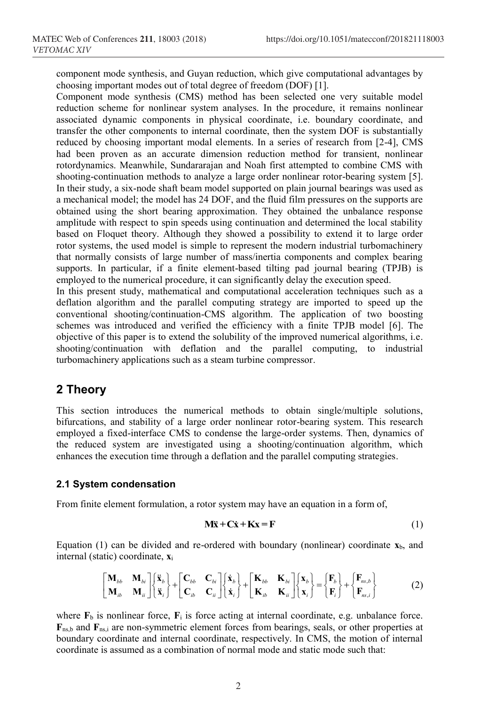component mode synthesis, and Guyan reduction, which give computational advantages by choosing important modes out of total degree of freedom (DOF) [1].

Component mode synthesis (CMS) method has been selected one very suitable model reduction scheme for nonlinear system analyses. In the procedure, it remains nonlinear associated dynamic components in physical coordinate, i.e. boundary coordinate, and transfer the other components to internal coordinate, then the system DOF is substantially reduced by choosing important modal elements. In a series of research from [2-4], CMS had been proven as an accurate dimension reduction method for transient, nonlinear rotordynamics. Meanwhile, Sundararajan and Noah first attempted to combine CMS with shooting-continuation methods to analyze a large order nonlinear rotor-bearing system [5]. In their study, a six-node shaft beam model supported on plain journal bearings was used as a mechanical model; the model has 24 DOF, and the fluid film pressures on the supports are obtained using the short bearing approximation. They obtained the unbalance response amplitude with respect to spin speeds using continuation and determined the local stability based on Floquet theory. Although they showed a possibility to extend it to large order rotor systems, the used model is simple to represent the modern industrial turbomachinery that normally consists of large number of mass/inertia components and complex bearing supports. In particular, if a finite element-based tilting pad journal bearing (TPJB) is employed to the numerical procedure, it can significantly delay the execution speed.

In this present study, mathematical and computational acceleration techniques such as a deflation algorithm and the parallel computing strategy are imported to speed up the conventional shooting/continuation-CMS algorithm. The application of two boosting schemes was introduced and verified the efficiency with a finite TPJB model [6]. The objective of this paper is to extend the solubility of the improved numerical algorithms, i.e. shooting/continuation with deflation and the parallel computing, to industrial turbomachinery applications such as a steam turbine compressor.

### **2 Theory**

This section introduces the numerical methods to obtain single/multiple solutions, bifurcations, and stability of a large order nonlinear rotor-bearing system. This research employed a fixed-interface CMS to condense the large-order systems. Then, dynamics of the reduced system are investigated using a shooting/continuation algorithm, which enhances the execution time through a deflation and the parallel computing strategies.

### **2.1 System condensation**

From finite element formulation, a rotor system may have an equation in a form of,

$$
\mathbf{M}\ddot{\mathbf{x}} + \mathbf{C}\dot{\mathbf{x}} + \mathbf{K}\mathbf{x} = \mathbf{F} \tag{1}
$$

Equation (1) can be divided and re-ordered with boundary (nonlinear) coordinate  $\mathbf{x}_b$ , and internal (static) coordinate, **x**<sup>i</sup>

$$
\begin{bmatrix} \mathbf{M}_{bb} & \mathbf{M}_{bi} \\ \mathbf{M}_{ib} & \mathbf{M}_{ii} \end{bmatrix} \begin{bmatrix} \ddot{\mathbf{x}}_{b} \\ \ddot{\mathbf{x}}_{i} \end{bmatrix} + \begin{bmatrix} \mathbf{C}_{bb} & \mathbf{C}_{bi} \\ \mathbf{C}_{ib} & \mathbf{C}_{ii} \end{bmatrix} \begin{bmatrix} \dot{\mathbf{x}}_{b} \\ \dot{\mathbf{x}}_{i} \end{bmatrix} + \begin{bmatrix} \mathbf{K}_{bb} & \mathbf{K}_{bi} \\ \mathbf{K}_{ib} & \mathbf{K}_{ii} \end{bmatrix} \begin{bmatrix} \mathbf{x}_{b} \\ \mathbf{x}_{i} \end{bmatrix} = \begin{bmatrix} \mathbf{F}_{b} \\ \mathbf{F}_{i} \end{bmatrix} + \begin{bmatrix} \mathbf{F}_{ns,b} \\ \mathbf{F}_{ns,i} \end{bmatrix}
$$
(2)

where  $\mathbf{F}_b$  is nonlinear force,  $\mathbf{F}_i$  is force acting at internal coordinate, e.g. unbalance force. **F**ns,b and **F**ns,i are non-symmetric element forces from bearings, seals, or other properties at boundary coordinate and internal coordinate, respectively. In CMS, the motion of internal coordinate is assumed as a combination of normal mode and static mode such that: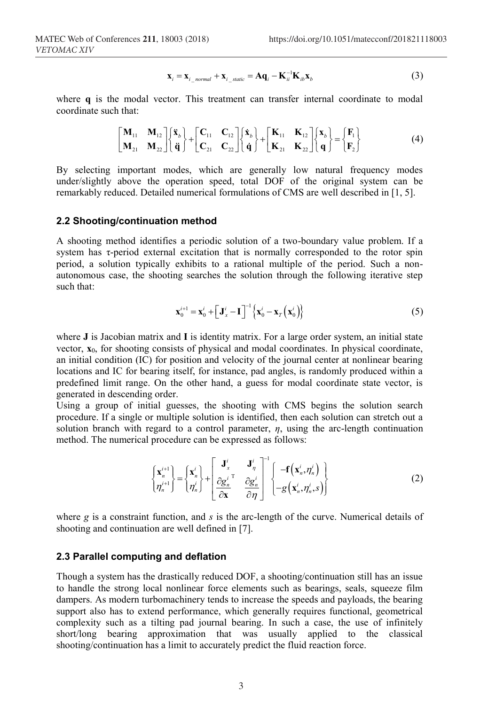$$
\mathbf{x}_{i} = \mathbf{x}_{i\_normal} + \mathbf{x}_{i\_static} = \mathbf{A}\mathbf{q}_{i} - \mathbf{K}_{ii}^{-1}\mathbf{K}_{ib}\mathbf{x}_{b}
$$
(3)

where **q** is the modal vector. This treatment can transfer internal coordinate to modal coordinate such that:

$$
\begin{bmatrix} \mathbf{M}_{11} & \mathbf{M}_{12} \\ \mathbf{M}_{21} & \mathbf{M}_{22} \end{bmatrix} \begin{bmatrix} \ddot{\mathbf{x}}_b \\ \ddot{\mathbf{q}} \end{bmatrix} + \begin{bmatrix} \mathbf{C}_{11} & \mathbf{C}_{12} \\ \mathbf{C}_{21} & \mathbf{C}_{22} \end{bmatrix} \begin{bmatrix} \dot{\mathbf{x}}_b \\ \dot{\mathbf{q}} \end{bmatrix} + \begin{bmatrix} \mathbf{K}_{11} & \mathbf{K}_{12} \\ \mathbf{K}_{21} & \mathbf{K}_{22} \end{bmatrix} \begin{bmatrix} \mathbf{x}_b \\ \mathbf{q} \end{bmatrix} = \begin{bmatrix} \mathbf{F}_1 \\ \mathbf{F}_2 \end{bmatrix}
$$
(4)

By selecting important modes, which are generally low natural frequency modes under/slightly above the operation speed, total DOF of the original system can be remarkably reduced. Detailed numerical formulations of CMS are well described in [1, 5].

#### **2.2 Shooting/continuation method**

A shooting method identifies a periodic solution of a two-boundary value problem. If a system has τ-period external excitation that is normally corresponded to the rotor spin period, a solution typically exhibits to a rational multiple of the period. Such a nonautonomous case, the shooting searches the solution through the following iterative step such that:

$$
\mathbf{x}_{0}^{i+1} = \mathbf{x}_{0}^{i} + \left[\mathbf{J}_{x}^{i} - \mathbf{I}\right]^{-1} \left\{\mathbf{x}_{0}^{i} - \mathbf{x}_{T}\left(\mathbf{x}_{0}^{i}\right)\right\}
$$
 (5)

where **J** is Jacobian matrix and **I** is identity matrix. For a large order system, an initial state vector, **x**0, for shooting consists of physical and modal coordinates. In physical coordinate, an initial condition (IC) for position and velocity of the journal center at nonlinear bearing locations and IC for bearing itself, for instance, pad angles, is randomly produced within a predefined limit range. On the other hand, a guess for modal coordinate state vector, is generated in descending order.

Using a group of initial guesses, the shooting with CMS begins the solution search procedure. If a single or multiple solution is identified, then each solution can stretch out a solution branch with regard to a control parameter,  $\eta$ , using the arc-length continuation method. The numerical procedure can be expressed as follows:

$$
\begin{Bmatrix} \mathbf{x}_{n}^{i+1} \\ \boldsymbol{\eta}_{n}^{i+1} \end{Bmatrix} = \begin{Bmatrix} \mathbf{x}_{n}^{i} \\ \boldsymbol{\eta}_{n}^{i} \end{Bmatrix} + \begin{bmatrix} \mathbf{J}_{x}^{i} & \mathbf{J}_{\eta}^{i} \\ \frac{\partial \mathbf{g}_{n}^{i}}{\partial \mathbf{x}} & \frac{\partial \mathbf{g}_{n}^{i}}{\partial \eta} \end{bmatrix}^{-1} \begin{Bmatrix} -\mathbf{f}(\mathbf{x}_{n}^{i}, \boldsymbol{\eta}_{n}^{i}) \\ -g(\mathbf{x}_{n}^{i}, \boldsymbol{\eta}_{n}^{i}, s) \end{Bmatrix}
$$
(2)

where *g* is a constraint function, and *s* is the arc-length of the curve. Numerical details of shooting and continuation are well defined in [7].

#### **2.3 Parallel computing and deflation**

Though a system has the drastically reduced DOF, a shooting/continuation still has an issue to handle the strong local nonlinear force elements such as bearings, seals, squeeze film dampers. As modern turbomachinery tends to increase the speeds and payloads, the bearing support also has to extend performance, which generally requires functional, geometrical complexity such as a tilting pad journal bearing. In such a case, the use of infinitely short/long bearing approximation that was usually applied to the classical shooting/continuation has a limit to accurately predict the fluid reaction force.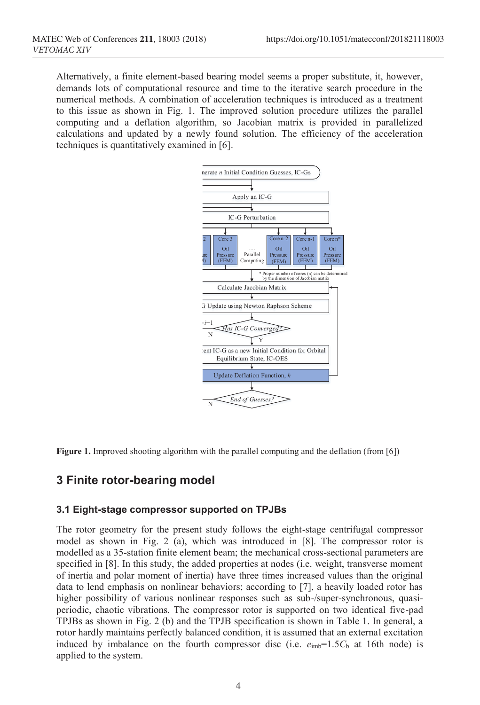Alternatively, a finite element-based bearing model seems a proper substitute, it, however, demands lots of computational resource and time to the iterative search procedure in the numerical methods. A combination of acceleration techniques is introduced as a treatment to this issue as shown in Fig. 1. The improved solution procedure utilizes the parallel computing and a deflation algorithm, so Jacobian matrix is provided in parallelized calculations and updated by a newly found solution. The efficiency of the acceleration techniques is quantitatively examined in [6].



**Figure 1.** Improved shooting algorithm with the parallel computing and the deflation (from [6])

### **3 Finite rotor-bearing model**

#### **3.1 Eight-stage compressor supported on TPJBs**

The rotor geometry for the present study follows the eight-stage centrifugal compressor model as shown in Fig. 2 (a), which was introduced in [8]. The compressor rotor is modelled as a 35-station finite element beam; the mechanical cross-sectional parameters are specified in [8]. In this study, the added properties at nodes (i.e. weight, transverse moment of inertia and polar moment of inertia) have three times increased values than the original data to lend emphasis on nonlinear behaviors; according to [7], a heavily loaded rotor has higher possibility of various nonlinear responses such as sub-/super-synchronous, quasiperiodic, chaotic vibrations. The compressor rotor is supported on two identical five-pad TPJBs as shown in Fig. 2 (b) and the TPJB specification is shown in Table 1. In general, a rotor hardly maintains perfectly balanced condition, it is assumed that an external excitation induced by imbalance on the fourth compressor disc (i.e.  $e_{\rm imb} = 1.5C_b$  at 16th node) is applied to the system.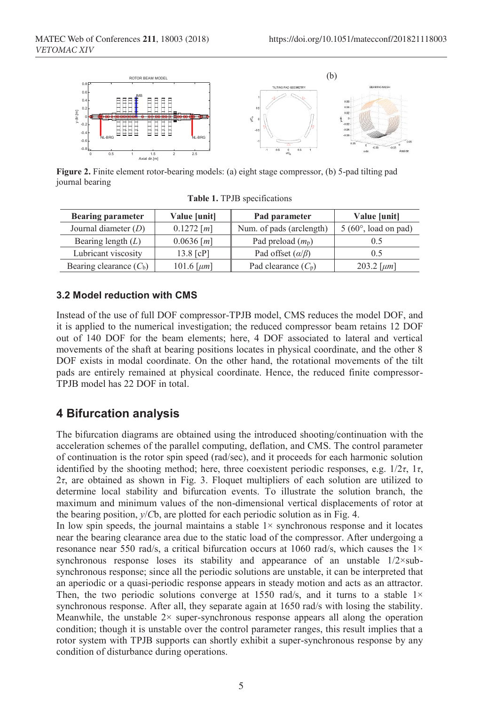

**Figure 2.** Finite element rotor-bearing models: (a) eight stage compressor, (b) 5-pad tilting pad journal bearing

| <b>Bearing parameter</b>  | Value [unit]          | Pad parameter               | Value [unit]                        |
|---------------------------|-----------------------|-----------------------------|-------------------------------------|
| Journal diameter $(D)$    | $0.1272$ [ <i>m</i> ] | Num. of pads (arclength)    | $5(60^{\circ}, \text{load on pad})$ |
| Bearing length $(L)$      | $0.0636$ [ <i>m</i> ] | Pad preload $(mp)$          | 0.5                                 |
| Lubricant viscosity       | 13.8 [ $cP$ ]         | Pad offset $(\alpha/\beta)$ | 0.5                                 |
| Bearing clearance $(C_b)$ | 101.6 [ $\mu$ m]      | Pad clearance $(C_p)$       | 203.2 [ $\mu$ m]                    |

**Table 1.** TPJB specifications

### **3.2 Model reduction with CMS**

Instead of the use of full DOF compressor-TPJB model, CMS reduces the model DOF, and it is applied to the numerical investigation; the reduced compressor beam retains 12 DOF out of 140 DOF for the beam elements; here, 4 DOF associated to lateral and vertical movements of the shaft at bearing positions locates in physical coordinate, and the other 8 DOF exists in modal coordinate. On the other hand, the rotational movements of the tilt pads are entirely remained at physical coordinate. Hence, the reduced finite compressor-TPJB model has 22 DOF in total.

### **4 Bifurcation analysis**

The bifurcation diagrams are obtained using the introduced shooting/continuation with the acceleration schemes of the parallel computing, deflation, and CMS. The control parameter of continuation is the rotor spin speed (rad/sec), and it proceeds for each harmonic solution identified by the shooting method; here, three coexistent periodic responses, e.g. 1/2*τ*, 1*τ*, 2*τ*, are obtained as shown in Fig. 3. Floquet multipliers of each solution are utilized to determine local stability and bifurcation events. To illustrate the solution branch, the maximum and minimum values of the non-dimensional vertical displacements of rotor at the bearing position, *y*/*C*b, are plotted for each periodic solution as in Fig. 4.

In low spin speeds, the journal maintains a stable  $1\times$  synchronous response and it locates near the bearing clearance area due to the static load of the compressor. After undergoing a resonance near 550 rad/s, a critical bifurcation occurs at 1060 rad/s, which causes the  $1\times$ synchronous response loses its stability and appearance of an unstable  $1/2 \times sub$ synchronous response; since all the periodic solutions are unstable, it can be interpreted that an aperiodic or a quasi-periodic response appears in steady motion and acts as an attractor. Then, the two periodic solutions converge at 1550 rad/s, and it turns to a stable  $1 \times$ synchronous response. After all, they separate again at 1650 rad/s with losing the stability. Meanwhile, the unstable  $2 \times$  super-synchronous response appears all along the operation condition; though it is unstable over the control parameter ranges, this result implies that a rotor system with TPJB supports can shortly exhibit a super-synchronous response by any condition of disturbance during operations.